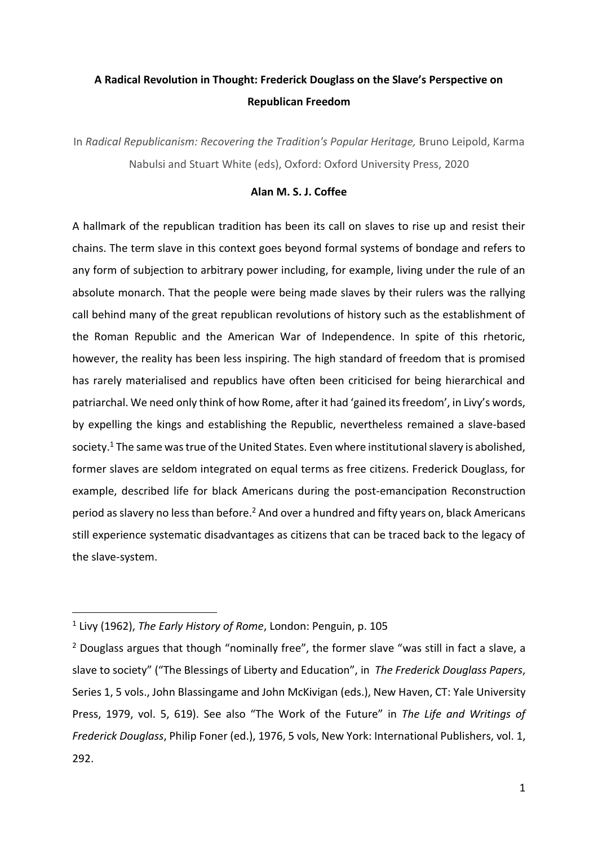# **A Radical Revolution in Thought: Frederick Douglass on the Slave's Perspective on Republican Freedom**

In *Radical Republicanism: Recovering the Tradition's Popular Heritage,* Bruno Leipold, Karma Nabulsi and Stuart White (eds), Oxford: Oxford University Press, 2020

## **Alan M. S. J. Coffee**

A hallmark of the republican tradition has been its call on slaves to rise up and resist their chains. The term slave in this context goes beyond formal systems of bondage and refers to any form of subjection to arbitrary power including, for example, living under the rule of an absolute monarch. That the people were being made slaves by their rulers was the rallying call behind many of the great republican revolutions of history such as the establishment of the Roman Republic and the American War of Independence. In spite of this rhetoric, however, the reality has been less inspiring. The high standard of freedom that is promised has rarely materialised and republics have often been criticised for being hierarchical and patriarchal. We need only think of how Rome, after it had 'gained its freedom', in Livy's words, by expelling the kings and establishing the Republic, nevertheless remained a slave-based society.<sup>1</sup> The same was true of the United States. Even where institutional slavery is abolished, former slaves are seldom integrated on equal terms as free citizens. Frederick Douglass, for example, described life for black Americans during the post-emancipation Reconstruction period as slavery no less than before.<sup>2</sup> And over a hundred and fifty years on, black Americans still experience systematic disadvantages as citizens that can be traced back to the legacy of the slave-system.

<sup>1</sup> Livy (1962), *The Early History of Rome*, London: Penguin, p. 105

 $<sup>2</sup>$  Douglass argues that though "nominally free", the former slave "was still in fact a slave, a</sup> slave to society" ("The Blessings of Liberty and Education", in *The Frederick Douglass Papers*, Series 1, 5 vols., John Blassingame and John McKivigan (eds.), New Haven, CT: Yale University Press, 1979, vol. 5, 619). See also "The Work of the Future" in *The Life and Writings of Frederick Douglass*, Philip Foner (ed.), 1976, 5 vols, New York: International Publishers, vol. 1, 292.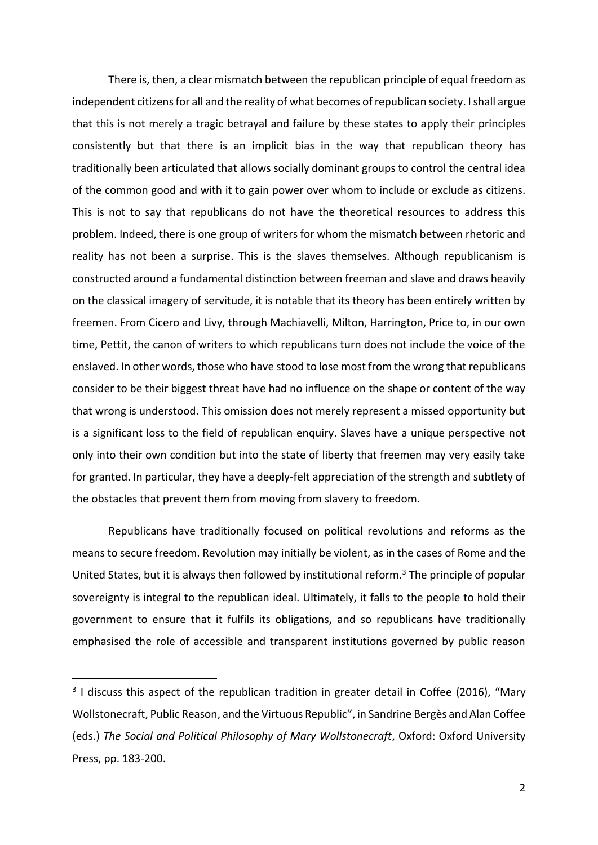There is, then, a clear mismatch between the republican principle of equal freedom as independent citizens for all and the reality of what becomes of republican society. I shall argue that this is not merely a tragic betrayal and failure by these states to apply their principles consistently but that there is an implicit bias in the way that republican theory has traditionally been articulated that allows socially dominant groups to control the central idea of the common good and with it to gain power over whom to include or exclude as citizens. This is not to say that republicans do not have the theoretical resources to address this problem. Indeed, there is one group of writers for whom the mismatch between rhetoric and reality has not been a surprise. This is the slaves themselves. Although republicanism is constructed around a fundamental distinction between freeman and slave and draws heavily on the classical imagery of servitude, it is notable that its theory has been entirely written by freemen. From Cicero and Livy, through Machiavelli, Milton, Harrington, Price to, in our own time, Pettit, the canon of writers to which republicans turn does not include the voice of the enslaved. In other words, those who have stood to lose most from the wrong that republicans consider to be their biggest threat have had no influence on the shape or content of the way that wrong is understood. This omission does not merely represent a missed opportunity but is a significant loss to the field of republican enquiry. Slaves have a unique perspective not only into their own condition but into the state of liberty that freemen may very easily take for granted. In particular, they have a deeply-felt appreciation of the strength and subtlety of the obstacles that prevent them from moving from slavery to freedom.

Republicans have traditionally focused on political revolutions and reforms as the means to secure freedom. Revolution may initially be violent, as in the cases of Rome and the United States, but it is always then followed by institutional reform.<sup>3</sup> The principle of popular sovereignty is integral to the republican ideal. Ultimately, it falls to the people to hold their government to ensure that it fulfils its obligations, and so republicans have traditionally emphasised the role of accessible and transparent institutions governed by public reason

1

 $3$  I discuss this aspect of the republican tradition in greater detail in Coffee (2016), "Mary Wollstonecraft, Public Reason, and the Virtuous Republic", in Sandrine Bergès and Alan Coffee (eds.) *The Social and Political Philosophy of Mary Wollstonecraft*, Oxford: Oxford University Press, pp. 183-200.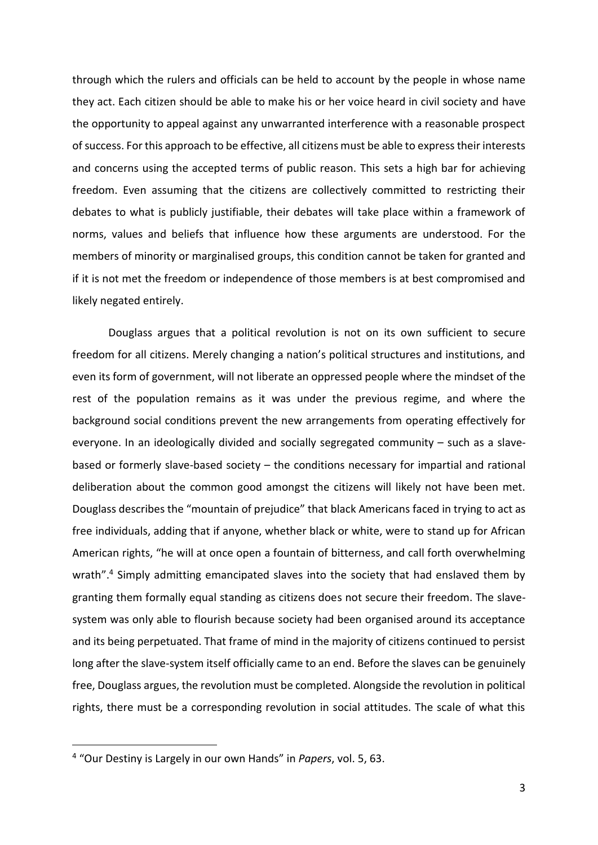through which the rulers and officials can be held to account by the people in whose name they act. Each citizen should be able to make his or her voice heard in civil society and have the opportunity to appeal against any unwarranted interference with a reasonable prospect of success. For this approach to be effective, all citizens must be able to express their interests and concerns using the accepted terms of public reason. This sets a high bar for achieving freedom. Even assuming that the citizens are collectively committed to restricting their debates to what is publicly justifiable, their debates will take place within a framework of norms, values and beliefs that influence how these arguments are understood. For the members of minority or marginalised groups, this condition cannot be taken for granted and if it is not met the freedom or independence of those members is at best compromised and likely negated entirely.

Douglass argues that a political revolution is not on its own sufficient to secure freedom for all citizens. Merely changing a nation's political structures and institutions, and even its form of government, will not liberate an oppressed people where the mindset of the rest of the population remains as it was under the previous regime, and where the background social conditions prevent the new arrangements from operating effectively for everyone. In an ideologically divided and socially segregated community – such as a slavebased or formerly slave-based society – the conditions necessary for impartial and rational deliberation about the common good amongst the citizens will likely not have been met. Douglass describes the "mountain of prejudice" that black Americans faced in trying to act as free individuals, adding that if anyone, whether black or white, were to stand up for African American rights, "he will at once open a fountain of bitterness, and call forth overwhelming wrath".<sup>4</sup> Simply admitting emancipated slaves into the society that had enslaved them by granting them formally equal standing as citizens does not secure their freedom. The slavesystem was only able to flourish because society had been organised around its acceptance and its being perpetuated. That frame of mind in the majority of citizens continued to persist long after the slave-system itself officially came to an end. Before the slaves can be genuinely free, Douglass argues, the revolution must be completed. Alongside the revolution in political rights, there must be a corresponding revolution in social attitudes. The scale of what this

<sup>4</sup> "Our Destiny is Largely in our own Hands" in *Papers*, vol. 5, 63.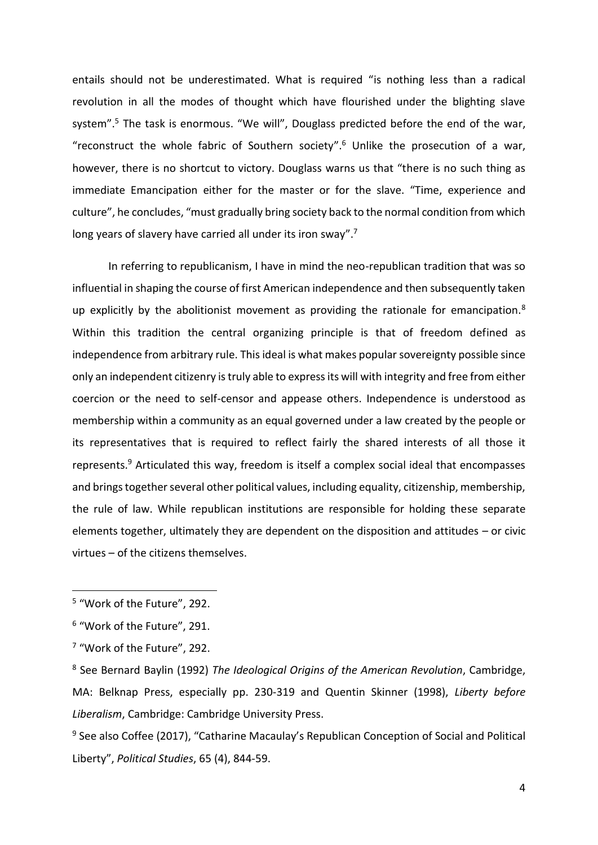entails should not be underestimated. What is required "is nothing less than a radical revolution in all the modes of thought which have flourished under the blighting slave system".<sup>5</sup> The task is enormous. "We will", Douglass predicted before the end of the war, "reconstruct the whole fabric of Southern society".<sup>6</sup> Unlike the prosecution of a war, however, there is no shortcut to victory. Douglass warns us that "there is no such thing as immediate Emancipation either for the master or for the slave. "Time, experience and culture", he concludes, "must gradually bring society back to the normal condition from which long years of slavery have carried all under its iron sway".<sup>7</sup>

In referring to republicanism, I have in mind the neo-republican tradition that was so influential in shaping the course of first American independence and then subsequently taken up explicitly by the abolitionist movement as providing the rationale for emancipation.<sup>8</sup> Within this tradition the central organizing principle is that of freedom defined as independence from arbitrary rule. This ideal is what makes popular sovereignty possible since only an independent citizenry is truly able to express its will with integrity and free from either coercion or the need to self-censor and appease others. Independence is understood as membership within a community as an equal governed under a law created by the people or its representatives that is required to reflect fairly the shared interests of all those it represents.<sup>9</sup> Articulated this way, freedom is itself a complex social ideal that encompasses and brings together several other political values, including equality, citizenship, membership, the rule of law. While republican institutions are responsible for holding these separate elements together, ultimately they are dependent on the disposition and attitudes – or civic virtues – of the citizens themselves.

<sup>5</sup> "Work of the Future", 292.

<sup>6</sup> "Work of the Future", 291.

<sup>7</sup> "Work of the Future", 292.

<sup>8</sup> See Bernard Baylin (1992) *The Ideological Origins of the American Revolution*, Cambridge, MA: Belknap Press, especially pp. 230-319 and Quentin Skinner (1998), *Liberty before Liberalism*, Cambridge: Cambridge University Press.

<sup>&</sup>lt;sup>9</sup> See also Coffee (2017), "Catharine Macaulay's Republican Conception of Social and Political Liberty", *Political Studies*, 65 (4), 844-59.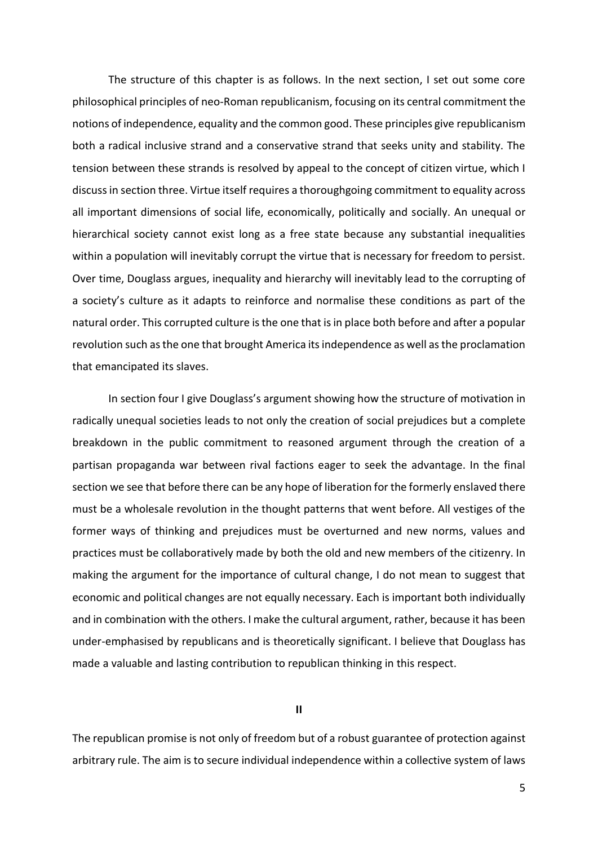The structure of this chapter is as follows. In the next section, I set out some core philosophical principles of neo-Roman republicanism, focusing on its central commitment the notions of independence, equality and the common good. These principles give republicanism both a radical inclusive strand and a conservative strand that seeks unity and stability. The tension between these strands is resolved by appeal to the concept of citizen virtue, which I discuss in section three. Virtue itself requires a thoroughgoing commitment to equality across all important dimensions of social life, economically, politically and socially. An unequal or hierarchical society cannot exist long as a free state because any substantial inequalities within a population will inevitably corrupt the virtue that is necessary for freedom to persist. Over time, Douglass argues, inequality and hierarchy will inevitably lead to the corrupting of a society's culture as it adapts to reinforce and normalise these conditions as part of the natural order. This corrupted culture is the one that is in place both before and after a popular revolution such as the one that brought America its independence as well as the proclamation that emancipated its slaves.

In section four I give Douglass's argument showing how the structure of motivation in radically unequal societies leads to not only the creation of social prejudices but a complete breakdown in the public commitment to reasoned argument through the creation of a partisan propaganda war between rival factions eager to seek the advantage. In the final section we see that before there can be any hope of liberation for the formerly enslaved there must be a wholesale revolution in the thought patterns that went before. All vestiges of the former ways of thinking and prejudices must be overturned and new norms, values and practices must be collaboratively made by both the old and new members of the citizenry. In making the argument for the importance of cultural change, I do not mean to suggest that economic and political changes are not equally necessary. Each is important both individually and in combination with the others. I make the cultural argument, rather, because it has been under-emphasised by republicans and is theoretically significant. I believe that Douglass has made a valuable and lasting contribution to republican thinking in this respect.

# **II**

The republican promise is not only of freedom but of a robust guarantee of protection against arbitrary rule. The aim is to secure individual independence within a collective system of laws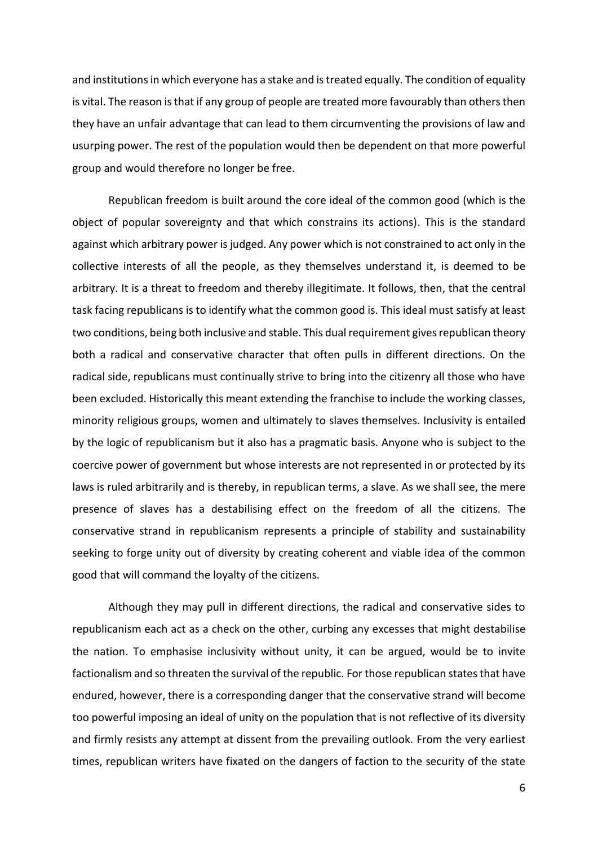and institutions in which everyone has a stake and is treated equally. The condition of equality is vital. The reason is that if any group of people are treated more favourably than others then they have an unfair advantage that can lead to them circumventing the provisions of law and usurping power. The rest of the population would then be dependent on that more powerful group and would therefore no longer be free.

Republican freedom is built around the core ideal of the common good (which is the object of popular sovereignty and that which constrains its actions). This is the standard against which arbitrary power is judged. Any power which is not constrained to act only in the collective interests of all the people, as they themselves understand it, is deemed to be arbitrary. It is a threat to freedom and thereby illegitimate. It follows, then, that the central task facing republicans is to identify what the common good is. This ideal must satisfy at least two conditions, being both inclusive and stable. This dual requirement gives republican theory both a radical and conservative character that often pulls in different directions. On the radical side, republicans must continually strive to bring into the citizenry all those who have been excluded. Historically this meant extending the franchise to include the working classes, minority religious groups, women and ultimately to slaves themselves. Inclusivity is entailed by the logic of republicanism but it also has a pragmatic basis. Anyone who is subject to the coercive power of government but whose interests are not represented in or protected by its laws is ruled arbitrarily and is thereby, in republican terms, a slave. As we shall see, the mere presence of slaves has a destabilising effect on the freedom of all the citizens. The conservative strand in republicanism represents a principle of stability and sustainability seeking to forge unity out of diversity by creating coherent and viable idea of the common good that will command the loyalty of the citizens.

Although they may pull in different directions, the radical and conservative sides to republicanism each act as a check on the other, curbing any excesses that might destabilise the nation. To emphasise inclusivity without unity, it can be argued, would be to invite factionalism and so threaten the survival of the republic. For those republican states that have endured, however, there is a corresponding danger that the conservative strand will become too powerful imposing an ideal of unity on the population that is not reflective of its diversity and firmly resists any attempt at dissent from the prevailing outlook. From the very earliest times, republican writers have fixated on the dangers of faction to the security of the state

6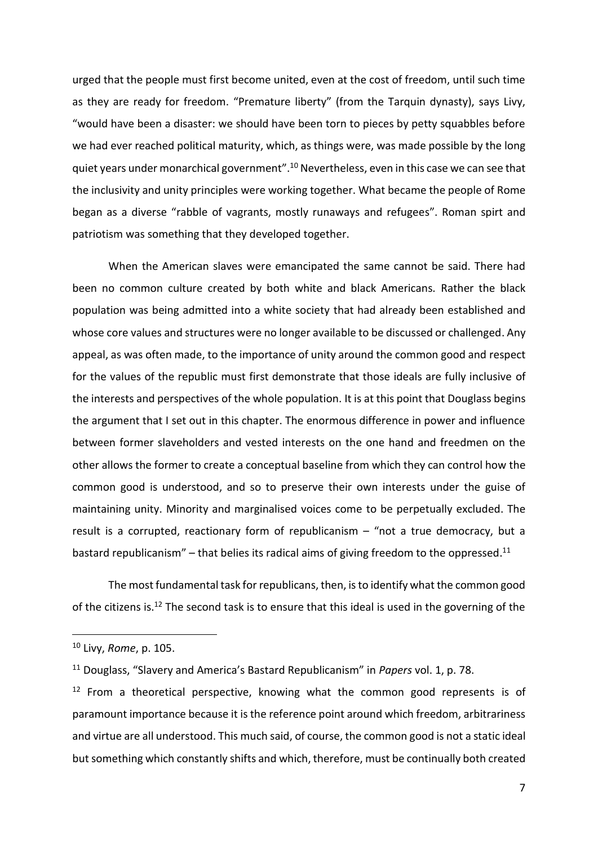urged that the people must first become united, even at the cost of freedom, until such time as they are ready for freedom. "Premature liberty" (from the Tarquin dynasty), says Livy, "would have been a disaster: we should have been torn to pieces by petty squabbles before we had ever reached political maturity, which, as things were, was made possible by the long quiet years under monarchical government".<sup>10</sup> Nevertheless, even in this case we can see that the inclusivity and unity principles were working together. What became the people of Rome began as a diverse "rabble of vagrants, mostly runaways and refugees". Roman spirt and patriotism was something that they developed together.

When the American slaves were emancipated the same cannot be said. There had been no common culture created by both white and black Americans. Rather the black population was being admitted into a white society that had already been established and whose core values and structures were no longer available to be discussed or challenged. Any appeal, as was often made, to the importance of unity around the common good and respect for the values of the republic must first demonstrate that those ideals are fully inclusive of the interests and perspectives of the whole population. It is at this point that Douglass begins the argument that I set out in this chapter. The enormous difference in power and influence between former slaveholders and vested interests on the one hand and freedmen on the other allows the former to create a conceptual baseline from which they can control how the common good is understood, and so to preserve their own interests under the guise of maintaining unity. Minority and marginalised voices come to be perpetually excluded. The result is a corrupted, reactionary form of republicanism – "not a true democracy, but a bastard republicanism" - that belies its radical aims of giving freedom to the oppressed.<sup>11</sup>

The most fundamental task for republicans, then, is to identify what the common good of the citizens is.<sup>12</sup> The second task is to ensure that this ideal is used in the governing of the

<sup>10</sup> Livy, *Rome*, p. 105.

<sup>11</sup> Douglass, "Slavery and America's Bastard Republicanism" in *Papers* vol. 1, p. 78.

 $12$  From a theoretical perspective, knowing what the common good represents is of paramount importance because it is the reference point around which freedom, arbitrariness and virtue are all understood. This much said, of course, the common good is not a static ideal but something which constantly shifts and which, therefore, must be continually both created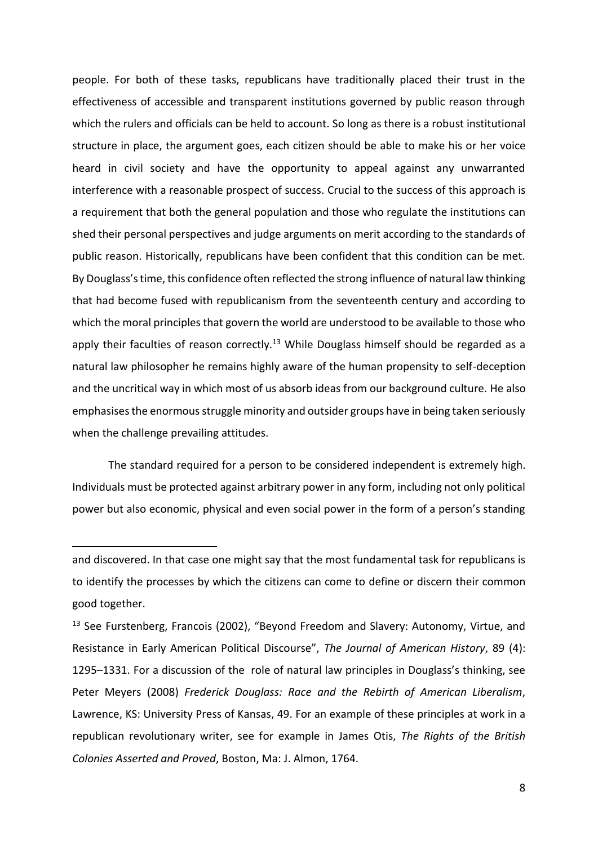people. For both of these tasks, republicans have traditionally placed their trust in the effectiveness of accessible and transparent institutions governed by public reason through which the rulers and officials can be held to account. So long as there is a robust institutional structure in place, the argument goes, each citizen should be able to make his or her voice heard in civil society and have the opportunity to appeal against any unwarranted interference with a reasonable prospect of success. Crucial to the success of this approach is a requirement that both the general population and those who regulate the institutions can shed their personal perspectives and judge arguments on merit according to the standards of public reason. Historically, republicans have been confident that this condition can be met. By Douglass's time, this confidence often reflected the strong influence of natural law thinking that had become fused with republicanism from the seventeenth century and according to which the moral principles that govern the world are understood to be available to those who apply their faculties of reason correctly.<sup>13</sup> While Douglass himself should be regarded as a natural law philosopher he remains highly aware of the human propensity to self-deception and the uncritical way in which most of us absorb ideas from our background culture. He also emphasises the enormous struggle minority and outsider groups have in being taken seriously when the challenge prevailing attitudes.

The standard required for a person to be considered independent is extremely high. Individuals must be protected against arbitrary power in any form, including not only political power but also economic, physical and even social power in the form of a person's standing

and discovered. In that case one might say that the most fundamental task for republicans is to identify the processes by which the citizens can come to define or discern their common good together.

<sup>&</sup>lt;sup>13</sup> See Furstenberg, Francois (2002), "Beyond Freedom and Slavery: Autonomy, Virtue, and Resistance in Early American Political Discourse", *The Journal of American History*, 89 (4): 1295–1331. For a discussion of the role of natural law principles in Douglass's thinking, see Peter Meyers (2008) *Frederick Douglass: Race and the Rebirth of American Liberalism*, Lawrence, KS: University Press of Kansas, 49. For an example of these principles at work in a republican revolutionary writer, see for example in James Otis, *The Rights of the British Colonies Asserted and Proved*, Boston, Ma: J. Almon, 1764.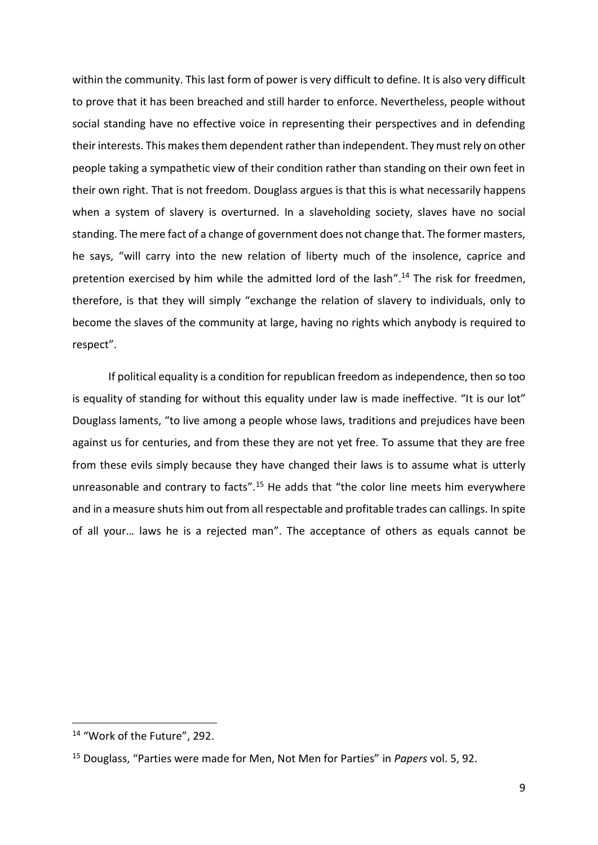within the community. This last form of power is very difficult to define. It is also very difficult to prove that it has been breached and still harder to enforce. Nevertheless, people without social standing have no effective voice in representing their perspectives and in defending their interests. This makes them dependent rather than independent. They must rely on other people taking a sympathetic view of their condition rather than standing on their own feet in their own right. That is not freedom. Douglass argues is that this is what necessarily happens when a system of slavery is overturned. In a slaveholding society, slaves have no social standing. The mere fact of a change of government does not change that. The former masters, he says, "will carry into the new relation of liberty much of the insolence, caprice and pretention exercised by him while the admitted lord of the lash".<sup>14</sup> The risk for freedmen, therefore, is that they will simply "exchange the relation of slavery to individuals, only to become the slaves of the community at large, having no rights which anybody is required to respect".

If political equality is a condition for republican freedom as independence, then so too is equality of standing for without this equality under law is made ineffective. "It is our lot" Douglass laments, "to live among a people whose laws, traditions and prejudices have been against us for centuries, and from these they are not yet free. To assume that they are free from these evils simply because they have changed their laws is to assume what is utterly unreasonable and contrary to facts".<sup>15</sup> He adds that "the color line meets him everywhere and in a measure shuts him out from all respectable and profitable trades can callings. In spite of all your… laws he is a rejected man". The acceptance of others as equals cannot be

<sup>14 &</sup>quot;Work of the Future", 292.

<sup>15</sup> Douglass, "Parties were made for Men, Not Men for Parties" in *Papers* vol. 5, 92.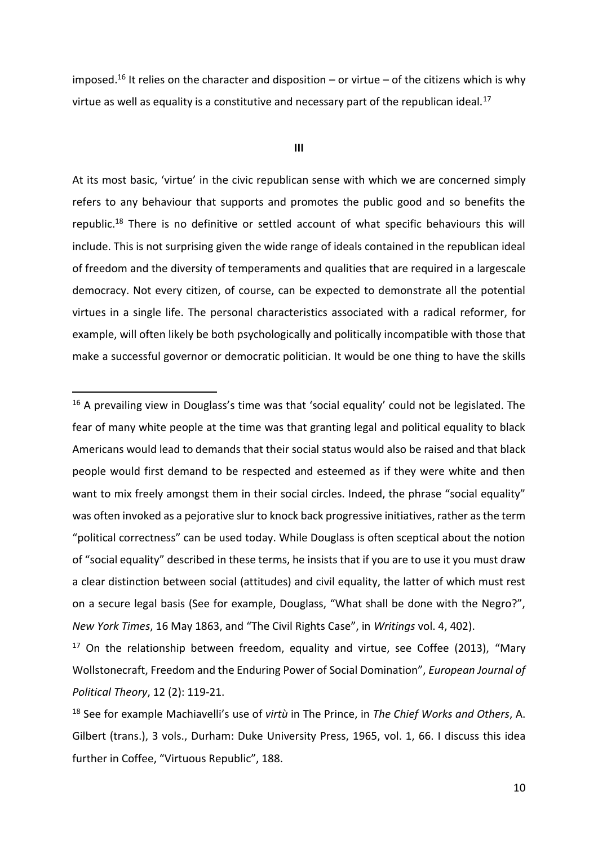imposed.<sup>16</sup> It relies on the character and disposition – or virtue – of the citizens which is why virtue as well as equality is a constitutive and necessary part of the republican ideal.<sup>17</sup>

#### **III**

At its most basic, 'virtue' in the civic republican sense with which we are concerned simply refers to any behaviour that supports and promotes the public good and so benefits the republic.<sup>18</sup> There is no definitive or settled account of what specific behaviours this will include. This is not surprising given the wide range of ideals contained in the republican ideal of freedom and the diversity of temperaments and qualities that are required in a largescale democracy. Not every citizen, of course, can be expected to demonstrate all the potential virtues in a single life. The personal characteristics associated with a radical reformer, for example, will often likely be both psychologically and politically incompatible with those that make a successful governor or democratic politician. It would be one thing to have the skills

 $16$  A prevailing view in Douglass's time was that 'social equality' could not be legislated. The fear of many white people at the time was that granting legal and political equality to black Americans would lead to demands that their social status would also be raised and that black people would first demand to be respected and esteemed as if they were white and then want to mix freely amongst them in their social circles. Indeed, the phrase "social equality" was often invoked as a pejorative slur to knock back progressive initiatives, rather as the term "political correctness" can be used today. While Douglass is often sceptical about the notion of "social equality" described in these terms, he insists that if you are to use it you must draw a clear distinction between social (attitudes) and civil equality, the latter of which must rest on a secure legal basis (See for example, Douglass, "What shall be done with the Negro?", *New York Times*, 16 May 1863, and "The Civil Rights Case", in *Writings* vol. 4, 402).

<sup>&</sup>lt;sup>17</sup> On the relationship between freedom, equality and virtue, see Coffee (2013), "Mary Wollstonecraft, Freedom and the Enduring Power of Social Domination", *European Journal of Political Theory*, 12 (2): 119-21.

<sup>18</sup> See for example Machiavelli's use of *virtù* in The Prince, in *The Chief Works and Others*, A. Gilbert (trans.), 3 vols., Durham: Duke University Press, 1965, vol. 1, 66. I discuss this idea further in Coffee, "Virtuous Republic", 188.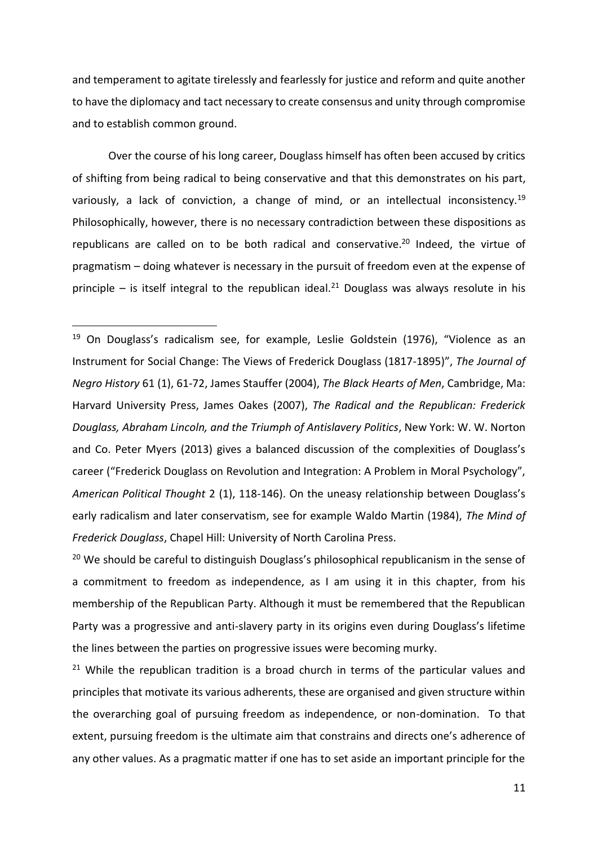and temperament to agitate tirelessly and fearlessly for justice and reform and quite another to have the diplomacy and tact necessary to create consensus and unity through compromise and to establish common ground.

Over the course of his long career, Douglass himself has often been accused by critics of shifting from being radical to being conservative and that this demonstrates on his part, variously, a lack of conviction, a change of mind, or an intellectual inconsistency.<sup>19</sup> Philosophically, however, there is no necessary contradiction between these dispositions as republicans are called on to be both radical and conservative.<sup>20</sup> Indeed, the virtue of pragmatism – doing whatever is necessary in the pursuit of freedom even at the expense of principle – is itself integral to the republican ideal.<sup>21</sup> Douglass was always resolute in his

 $19$  On Douglass's radicalism see, for example, Leslie Goldstein (1976), "Violence as an Instrument for Social Change: The Views of Frederick Douglass (1817-1895)", *The Journal of Negro History* 61 (1), 61-72, James Stauffer (2004), *The Black Hearts of Men*, Cambridge, Ma: Harvard University Press, James Oakes (2007), *The Radical and the Republican: Frederick Douglass, Abraham Lincoln, and the Triumph of Antislavery Politics*, New York: W. W. Norton and Co. Peter Myers (2013) gives a balanced discussion of the complexities of Douglass's career ("Frederick Douglass on Revolution and Integration: A Problem in Moral Psychology", *American Political Thought* 2 (1), 118-146). On the uneasy relationship between Douglass's early radicalism and later conservatism, see for example Waldo Martin (1984), *The Mind of Frederick Douglass*, Chapel Hill: University of North Carolina Press.

<sup>&</sup>lt;sup>20</sup> We should be careful to distinguish Douglass's philosophical republicanism in the sense of a commitment to freedom as independence, as I am using it in this chapter, from his membership of the Republican Party. Although it must be remembered that the Republican Party was a progressive and anti-slavery party in its origins even during Douglass's lifetime the lines between the parties on progressive issues were becoming murky.

 $21$  While the republican tradition is a broad church in terms of the particular values and principles that motivate its various adherents, these are organised and given structure within the overarching goal of pursuing freedom as independence, or non-domination. To that extent, pursuing freedom is the ultimate aim that constrains and directs one's adherence of any other values. As a pragmatic matter if one has to set aside an important principle for the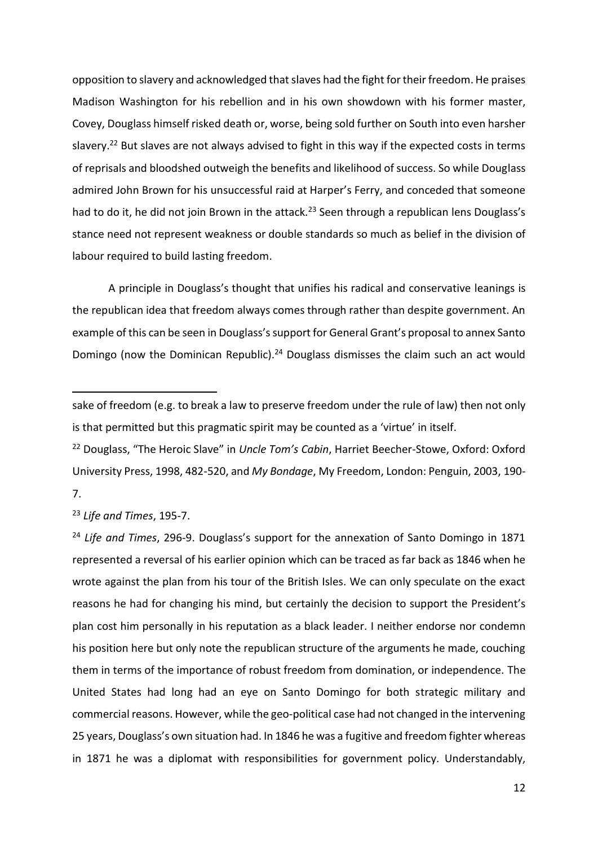opposition to slavery and acknowledged that slaves had the fight for their freedom. He praises Madison Washington for his rebellion and in his own showdown with his former master, Covey, Douglass himself risked death or, worse, being sold further on South into even harsher slavery.<sup>22</sup> But slaves are not always advised to fight in this way if the expected costs in terms of reprisals and bloodshed outweigh the benefits and likelihood of success. So while Douglass admired John Brown for his unsuccessful raid at Harper's Ferry, and conceded that someone had to do it, he did not join Brown in the attack.<sup>23</sup> Seen through a republican lens Douglass's stance need not represent weakness or double standards so much as belief in the division of labour required to build lasting freedom.

A principle in Douglass's thought that unifies his radical and conservative leanings is the republican idea that freedom always comes through rather than despite government. An example of this can be seen in Douglass's support for General Grant's proposal to annex Santo Domingo (now the Dominican Republic).<sup>24</sup> Douglass dismisses the claim such an act would

-

<sup>24</sup> *Life and Times*, 296-9. Douglass's support for the annexation of Santo Domingo in 1871 represented a reversal of his earlier opinion which can be traced as far back as 1846 when he wrote against the plan from his tour of the British Isles. We can only speculate on the exact reasons he had for changing his mind, but certainly the decision to support the President's plan cost him personally in his reputation as a black leader. I neither endorse nor condemn his position here but only note the republican structure of the arguments he made, couching them in terms of the importance of robust freedom from domination, or independence. The United States had long had an eye on Santo Domingo for both strategic military and commercial reasons. However, while the geo-political case had not changed in the intervening 25 years, Douglass's own situation had. In 1846 he was a fugitive and freedom fighter whereas in 1871 he was a diplomat with responsibilities for government policy. Understandably,

sake of freedom (e.g. to break a law to preserve freedom under the rule of law) then not only is that permitted but this pragmatic spirit may be counted as a 'virtue' in itself.

<sup>22</sup> Douglass, "The Heroic Slave" in *Uncle Tom's Cabin*, Harriet Beecher-Stowe, Oxford: Oxford University Press, 1998, 482-520, and *My Bondage*, My Freedom, London: Penguin, 2003, 190- 7.

<sup>23</sup> *Life and Times*, 195-7.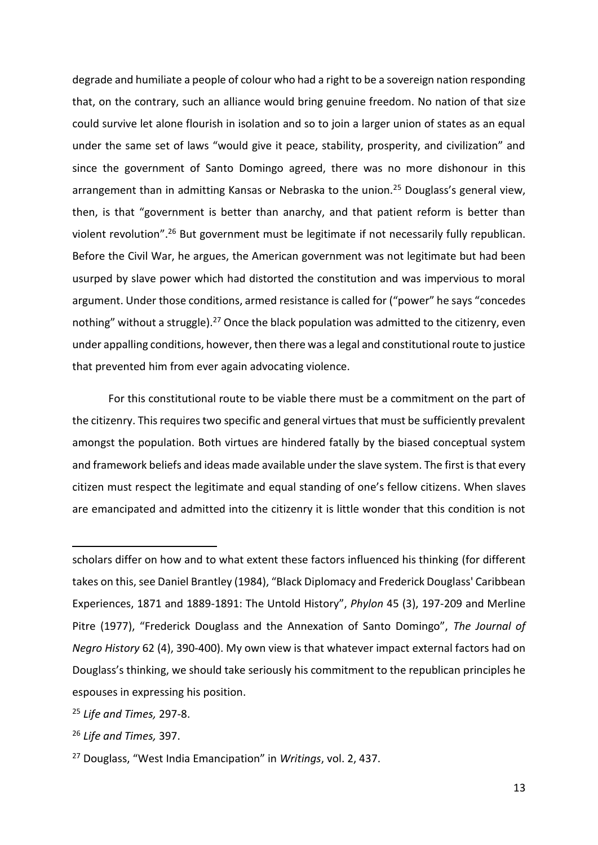degrade and humiliate a people of colour who had a right to be a sovereign nation responding that, on the contrary, such an alliance would bring genuine freedom. No nation of that size could survive let alone flourish in isolation and so to join a larger union of states as an equal under the same set of laws "would give it peace, stability, prosperity, and civilization" and since the government of Santo Domingo agreed, there was no more dishonour in this arrangement than in admitting Kansas or Nebraska to the union.<sup>25</sup> Douglass's general view, then, is that "government is better than anarchy, and that patient reform is better than violent revolution".<sup>26</sup> But government must be legitimate if not necessarily fully republican. Before the Civil War, he argues, the American government was not legitimate but had been usurped by slave power which had distorted the constitution and was impervious to moral argument. Under those conditions, armed resistance is called for ("power" he says "concedes nothing" without a struggle).<sup>27</sup> Once the black population was admitted to the citizenry, even under appalling conditions, however, then there was a legal and constitutional route to justice that prevented him from ever again advocating violence.

For this constitutional route to be viable there must be a commitment on the part of the citizenry. This requires two specific and general virtues that must be sufficiently prevalent amongst the population. Both virtues are hindered fatally by the biased conceptual system and framework beliefs and ideas made available under the slave system. The first is that every citizen must respect the legitimate and equal standing of one's fellow citizens. When slaves are emancipated and admitted into the citizenry it is little wonder that this condition is not

<sup>25</sup> *Life and Times,* 297-8.

-

<sup>26</sup> *Life and Times,* 397.

scholars differ on how and to what extent these factors influenced his thinking (for different takes on this, see Daniel Brantley (1984), "Black Diplomacy and Frederick Douglass' Caribbean Experiences, 1871 and 1889-1891: The Untold History", *Phylon* 45 (3), 197-209 and Merline Pitre (1977), "Frederick Douglass and the Annexation of Santo Domingo", *The Journal of Negro History* 62 (4), 390-400). My own view is that whatever impact external factors had on Douglass's thinking, we should take seriously his commitment to the republican principles he espouses in expressing his position.

<sup>27</sup> Douglass, "West India Emancipation" in *Writings*, vol. 2, 437.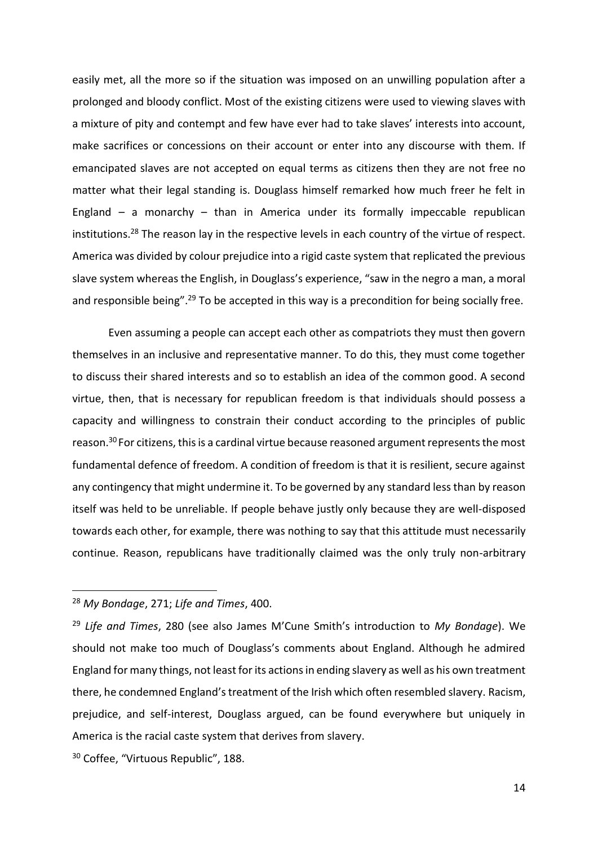easily met, all the more so if the situation was imposed on an unwilling population after a prolonged and bloody conflict. Most of the existing citizens were used to viewing slaves with a mixture of pity and contempt and few have ever had to take slaves' interests into account, make sacrifices or concessions on their account or enter into any discourse with them. If emancipated slaves are not accepted on equal terms as citizens then they are not free no matter what their legal standing is. Douglass himself remarked how much freer he felt in England – a monarchy – than in America under its formally impeccable republican institutions.<sup>28</sup> The reason lay in the respective levels in each country of the virtue of respect. America was divided by colour prejudice into a rigid caste system that replicated the previous slave system whereas the English, in Douglass's experience, "saw in the negro a man, a moral and responsible being".<sup>29</sup> To be accepted in this way is a precondition for being socially free.

Even assuming a people can accept each other as compatriots they must then govern themselves in an inclusive and representative manner. To do this, they must come together to discuss their shared interests and so to establish an idea of the common good. A second virtue, then, that is necessary for republican freedom is that individuals should possess a capacity and willingness to constrain their conduct according to the principles of public reason.<sup>30</sup> For citizens, this is a cardinal virtue because reasoned argument represents the most fundamental defence of freedom. A condition of freedom is that it is resilient, secure against any contingency that might undermine it. To be governed by any standard less than by reason itself was held to be unreliable. If people behave justly only because they are well-disposed towards each other, for example, there was nothing to say that this attitude must necessarily continue. Reason, republicans have traditionally claimed was the only truly non-arbitrary

<sup>28</sup> *My Bondage*, 271; *Life and Times*, 400.

<sup>29</sup> *Life and Times*, 280 (see also James M'Cune Smith's introduction to *My Bondage*). We should not make too much of Douglass's comments about England. Although he admired England for many things, not least for its actions in ending slavery as well as his own treatment there, he condemned England's treatment of the Irish which often resembled slavery. Racism, prejudice, and self-interest, Douglass argued, can be found everywhere but uniquely in America is the racial caste system that derives from slavery.

<sup>&</sup>lt;sup>30</sup> Coffee, "Virtuous Republic", 188.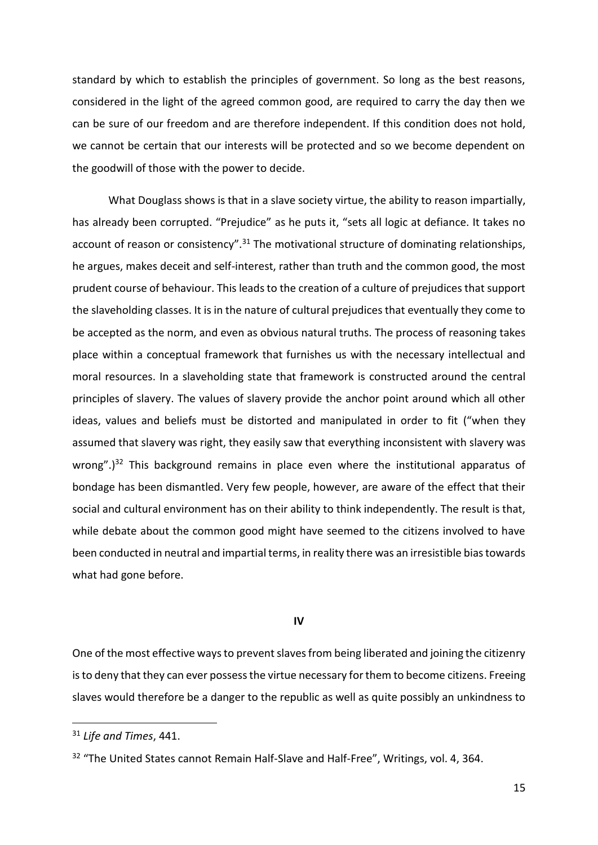standard by which to establish the principles of government. So long as the best reasons, considered in the light of the agreed common good, are required to carry the day then we can be sure of our freedom and are therefore independent. If this condition does not hold, we cannot be certain that our interests will be protected and so we become dependent on the goodwill of those with the power to decide.

What Douglass shows is that in a slave society virtue, the ability to reason impartially, has already been corrupted. "Prejudice" as he puts it, "sets all logic at defiance. It takes no account of reason or consistency".<sup>31</sup> The motivational structure of dominating relationships, he argues, makes deceit and self-interest, rather than truth and the common good, the most prudent course of behaviour. This leads to the creation of a culture of prejudices that support the slaveholding classes. It is in the nature of cultural prejudices that eventually they come to be accepted as the norm, and even as obvious natural truths. The process of reasoning takes place within a conceptual framework that furnishes us with the necessary intellectual and moral resources. In a slaveholding state that framework is constructed around the central principles of slavery. The values of slavery provide the anchor point around which all other ideas, values and beliefs must be distorted and manipulated in order to fit ("when they assumed that slavery was right, they easily saw that everything inconsistent with slavery was wrong".) $32$  This background remains in place even where the institutional apparatus of bondage has been dismantled. Very few people, however, are aware of the effect that their social and cultural environment has on their ability to think independently. The result is that, while debate about the common good might have seemed to the citizens involved to have been conducted in neutral and impartial terms, in reality there was an irresistible bias towards what had gone before.

### **IV**

One of the most effective ways to prevent slaves from being liberated and joining the citizenry is to deny that they can ever possess the virtue necessary for them to become citizens. Freeing slaves would therefore be a danger to the republic as well as quite possibly an unkindness to

<sup>31</sup> *Life and Times*, 441.

<sup>&</sup>lt;sup>32</sup> "The United States cannot Remain Half-Slave and Half-Free", Writings, vol. 4, 364.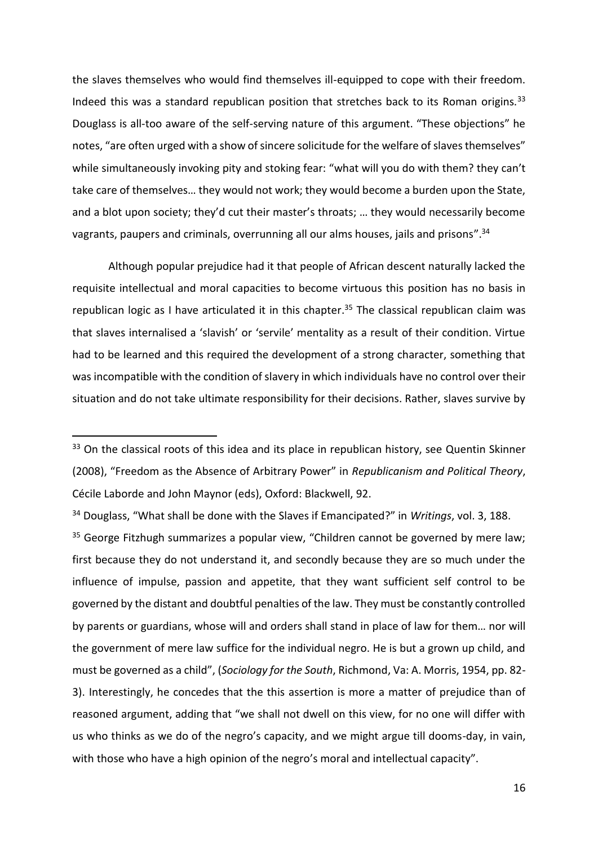the slaves themselves who would find themselves ill-equipped to cope with their freedom. Indeed this was a standard republican position that stretches back to its Roman origins.<sup>33</sup> Douglass is all-too aware of the self-serving nature of this argument. "These objections" he notes, "are often urged with a show of sincere solicitude for the welfare of slaves themselves" while simultaneously invoking pity and stoking fear: "what will you do with them? they can't take care of themselves… they would not work; they would become a burden upon the State, and a blot upon society; they'd cut their master's throats; … they would necessarily become vagrants, paupers and criminals, overrunning all our alms houses, jails and prisons".<sup>34</sup>

Although popular prejudice had it that people of African descent naturally lacked the requisite intellectual and moral capacities to become virtuous this position has no basis in republican logic as I have articulated it in this chapter. <sup>35</sup> The classical republican claim was that slaves internalised a 'slavish' or 'servile' mentality as a result of their condition. Virtue had to be learned and this required the development of a strong character, something that was incompatible with the condition of slavery in which individuals have no control over their situation and do not take ultimate responsibility for their decisions. Rather, slaves survive by

-

<sup>35</sup> George Fitzhugh summarizes a popular view, "Children cannot be governed by mere law; first because they do not understand it, and secondly because they are so much under the influence of impulse, passion and appetite, that they want sufficient self control to be governed by the distant and doubtful penalties of the law. They must be constantly controlled by parents or guardians, whose will and orders shall stand in place of law for them… nor will the government of mere law suffice for the individual negro. He is but a grown up child, and must be governed as a child", (*Sociology for the South*, Richmond, Va: A. Morris, 1954, pp. 82- 3). Interestingly, he concedes that the this assertion is more a matter of prejudice than of reasoned argument, adding that "we shall not dwell on this view, for no one will differ with us who thinks as we do of the negro's capacity, and we might argue till dooms-day, in vain, with those who have a high opinion of the negro's moral and intellectual capacity".

<sup>&</sup>lt;sup>33</sup> On the classical roots of this idea and its place in republican history, see Quentin Skinner (2008), "Freedom as the Absence of Arbitrary Power" in *Republicanism and Political Theory*, Cécile Laborde and John Maynor (eds), Oxford: Blackwell, 92.

<sup>34</sup> Douglass, "What shall be done with the Slaves if Emancipated?" in *Writings*, vol. 3, 188.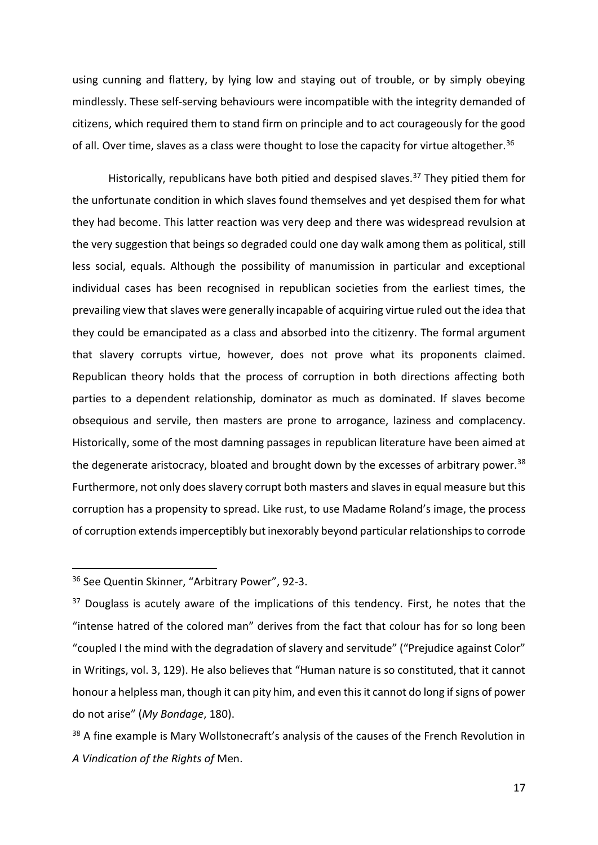using cunning and flattery, by lying low and staying out of trouble, or by simply obeying mindlessly. These self-serving behaviours were incompatible with the integrity demanded of citizens, which required them to stand firm on principle and to act courageously for the good of all. Over time, slaves as a class were thought to lose the capacity for virtue altogether.<sup>36</sup>

Historically, republicans have both pitied and despised slaves.<sup>37</sup> They pitied them for the unfortunate condition in which slaves found themselves and yet despised them for what they had become. This latter reaction was very deep and there was widespread revulsion at the very suggestion that beings so degraded could one day walk among them as political, still less social, equals. Although the possibility of manumission in particular and exceptional individual cases has been recognised in republican societies from the earliest times, the prevailing view that slaves were generally incapable of acquiring virtue ruled out the idea that they could be emancipated as a class and absorbed into the citizenry. The formal argument that slavery corrupts virtue, however, does not prove what its proponents claimed. Republican theory holds that the process of corruption in both directions affecting both parties to a dependent relationship, dominator as much as dominated. If slaves become obsequious and servile, then masters are prone to arrogance, laziness and complacency. Historically, some of the most damning passages in republican literature have been aimed at the degenerate aristocracy, bloated and brought down by the excesses of arbitrary power.<sup>38</sup> Furthermore, not only does slavery corrupt both masters and slaves in equal measure but this corruption has a propensity to spread. Like rust, to use Madame Roland's image, the process of corruption extendsimperceptibly but inexorably beyond particular relationships to corrode

<sup>&</sup>lt;sup>36</sup> See Quentin Skinner, "Arbitrary Power", 92-3.

 $37$  Douglass is acutely aware of the implications of this tendency. First, he notes that the "intense hatred of the colored man" derives from the fact that colour has for so long been "coupled I the mind with the degradation of slavery and servitude" ("Prejudice against Color" in Writings, vol. 3, 129). He also believes that "Human nature is so constituted, that it cannot honour a helpless man, though it can pity him, and even this it cannot do long if signs of power do not arise" (*My Bondage*, 180).

<sup>&</sup>lt;sup>38</sup> A fine example is Mary Wollstonecraft's analysis of the causes of the French Revolution in *A Vindication of the Rights of* Men.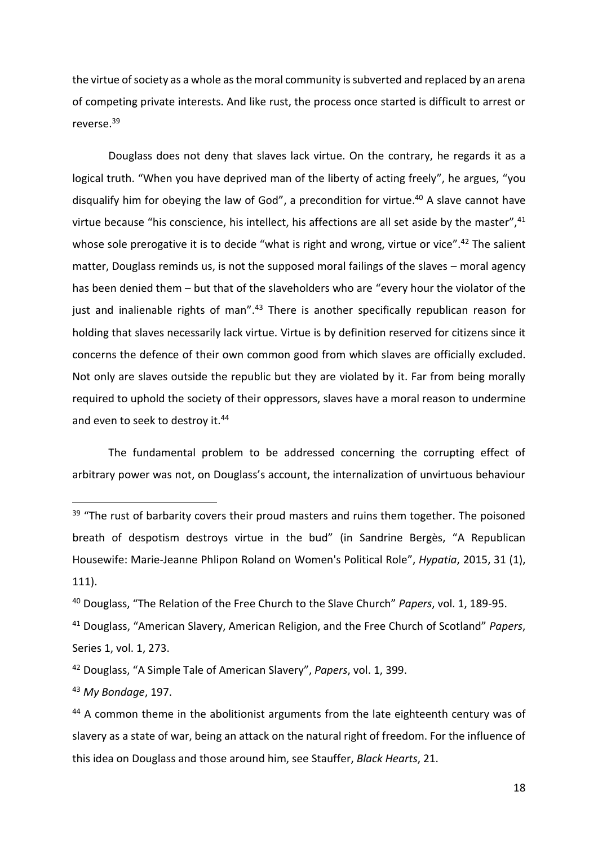the virtue of society as a whole as the moral community is subverted and replaced by an arena of competing private interests. And like rust, the process once started is difficult to arrest or reverse.<sup>39</sup>

Douglass does not deny that slaves lack virtue. On the contrary, he regards it as a logical truth. "When you have deprived man of the liberty of acting freely", he argues, "you disqualify him for obeying the law of God", a precondition for virtue.<sup>40</sup> A slave cannot have virtue because "his conscience, his intellect, his affections are all set aside by the master", <sup>41</sup> whose sole prerogative it is to decide "what is right and wrong, virtue or vice".<sup>42</sup> The salient matter, Douglass reminds us, is not the supposed moral failings of the slaves – moral agency has been denied them – but that of the slaveholders who are "every hour the violator of the just and inalienable rights of man".<sup>43</sup> There is another specifically republican reason for holding that slaves necessarily lack virtue. Virtue is by definition reserved for citizens since it concerns the defence of their own common good from which slaves are officially excluded. Not only are slaves outside the republic but they are violated by it. Far from being morally required to uphold the society of their oppressors, slaves have a moral reason to undermine and even to seek to destroy it.<sup>44</sup>

The fundamental problem to be addressed concerning the corrupting effect of arbitrary power was not, on Douglass's account, the internalization of unvirtuous behaviour

<sup>&</sup>lt;sup>39</sup> "The rust of barbarity covers their proud masters and ruins them together. The poisoned breath of despotism destroys virtue in the bud" (in Sandrine Bergès, "A Republican Housewife: Marie-Jeanne Phlipon Roland on Women's Political Role", *Hypatia*, 2015, 31 (1), 111).

<sup>40</sup> Douglass, "The Relation of the Free Church to the Slave Church" *Papers*, vol. 1, 189-95.

<sup>41</sup> Douglass, "American Slavery, American Religion, and the Free Church of Scotland" *Papers*, Series 1, vol. 1, 273.

<sup>42</sup> Douglass, "A Simple Tale of American Slavery", *Papers*, vol. 1, 399.

<sup>43</sup> *My Bondage*, 197.

<sup>&</sup>lt;sup>44</sup> A common theme in the abolitionist arguments from the late eighteenth century was of slavery as a state of war, being an attack on the natural right of freedom. For the influence of this idea on Douglass and those around him, see Stauffer, *Black Hearts*, 21.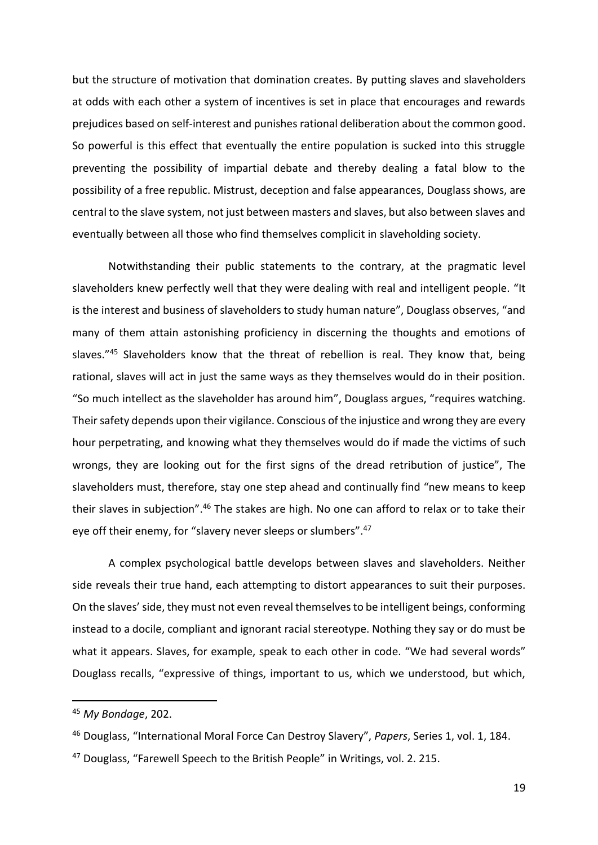but the structure of motivation that domination creates. By putting slaves and slaveholders at odds with each other a system of incentives is set in place that encourages and rewards prejudices based on self-interest and punishes rational deliberation about the common good. So powerful is this effect that eventually the entire population is sucked into this struggle preventing the possibility of impartial debate and thereby dealing a fatal blow to the possibility of a free republic. Mistrust, deception and false appearances, Douglass shows, are central to the slave system, not just between masters and slaves, but also between slaves and eventually between all those who find themselves complicit in slaveholding society.

Notwithstanding their public statements to the contrary, at the pragmatic level slaveholders knew perfectly well that they were dealing with real and intelligent people. "It is the interest and business of slaveholders to study human nature", Douglass observes, "and many of them attain astonishing proficiency in discerning the thoughts and emotions of slaves."<sup>45</sup> Slaveholders know that the threat of rebellion is real. They know that, being rational, slaves will act in just the same ways as they themselves would do in their position. "So much intellect as the slaveholder has around him", Douglass argues, "requires watching. Their safety depends upon their vigilance. Conscious of the injustice and wrong they are every hour perpetrating, and knowing what they themselves would do if made the victims of such wrongs, they are looking out for the first signs of the dread retribution of justice", The slaveholders must, therefore, stay one step ahead and continually find "new means to keep their slaves in subjection".<sup>46</sup> The stakes are high. No one can afford to relax or to take their eye off their enemy, for "slavery never sleeps or slumbers".<sup>47</sup>

A complex psychological battle develops between slaves and slaveholders. Neither side reveals their true hand, each attempting to distort appearances to suit their purposes. On the slaves' side, they must not even reveal themselves to be intelligent beings, conforming instead to a docile, compliant and ignorant racial stereotype. Nothing they say or do must be what it appears. Slaves, for example, speak to each other in code. "We had several words" Douglass recalls, "expressive of things, important to us, which we understood, but which,

<sup>45</sup> *My Bondage*, 202.

<sup>46</sup> Douglass, "International Moral Force Can Destroy Slavery", *Papers*, Series 1, vol. 1, 184.

<sup>47</sup> Douglass, "Farewell Speech to the British People" in Writings, vol. 2. 215.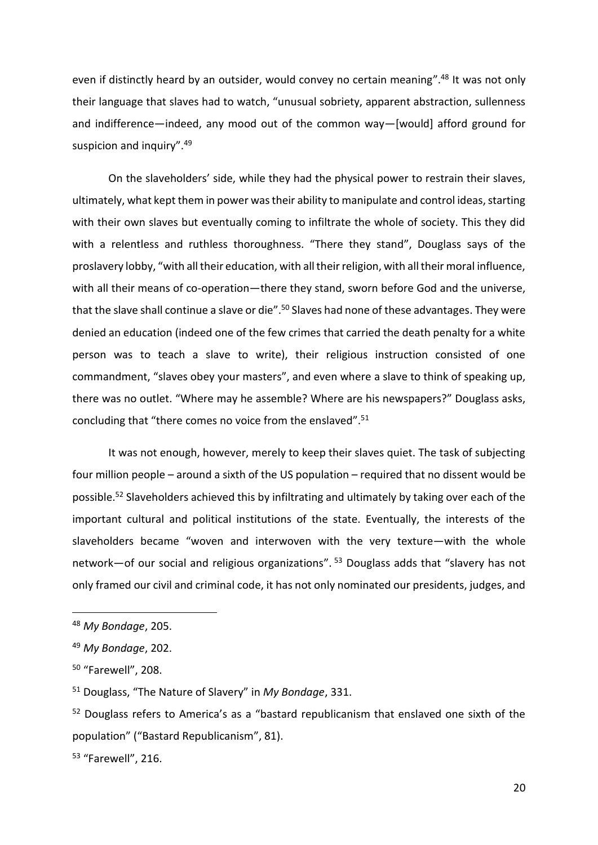even if distinctly heard by an outsider, would convey no certain meaning".<sup>48</sup> It was not only their language that slaves had to watch, "unusual sobriety, apparent abstraction, sullenness and indifference—indeed, any mood out of the common way—[would] afford ground for suspicion and inquiry".<sup>49</sup>

On the slaveholders' side, while they had the physical power to restrain their slaves, ultimately, what kept them in power was their ability to manipulate and control ideas, starting with their own slaves but eventually coming to infiltrate the whole of society. This they did with a relentless and ruthless thoroughness. "There they stand", Douglass says of the proslavery lobby, "with all their education, with all their religion, with all their moral influence, with all their means of co-operation—there they stand, sworn before God and the universe, that the slave shall continue a slave or die".<sup>50</sup> Slaves had none of these advantages. They were denied an education (indeed one of the few crimes that carried the death penalty for a white person was to teach a slave to write), their religious instruction consisted of one commandment, "slaves obey your masters", and even where a slave to think of speaking up, there was no outlet. "Where may he assemble? Where are his newspapers?" Douglass asks, concluding that "there comes no voice from the enslaved".<sup>51</sup>

It was not enough, however, merely to keep their slaves quiet. The task of subjecting four million people – around a sixth of the US population – required that no dissent would be possible.<sup>52</sup> Slaveholders achieved this by infiltrating and ultimately by taking over each of the important cultural and political institutions of the state. Eventually, the interests of the slaveholders became "woven and interwoven with the very texture—with the whole network—of our social and religious organizations". <sup>53</sup> Douglass adds that "slavery has not only framed our civil and criminal code, it has not only nominated our presidents, judges, and

<sup>48</sup> *My Bondage*, 205.

<sup>49</sup> *My Bondage*, 202.

<sup>50</sup> "Farewell", 208.

<sup>51</sup> Douglass, "The Nature of Slavery" in *My Bondage*, 331.

<sup>&</sup>lt;sup>52</sup> Douglass refers to America's as a "bastard republicanism that enslaved one sixth of the population" ("Bastard Republicanism", 81).

<sup>53</sup> "Farewell", 216.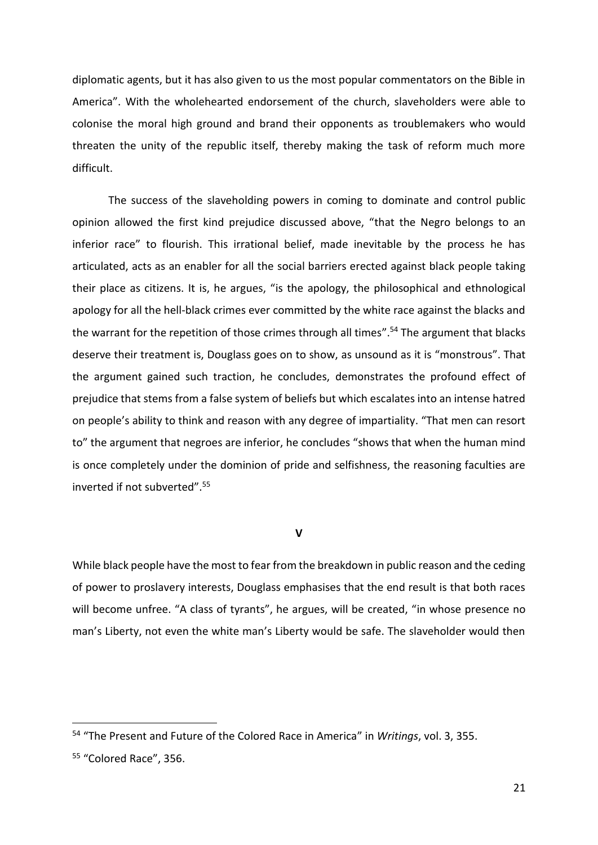diplomatic agents, but it has also given to us the most popular commentators on the Bible in America". With the wholehearted endorsement of the church, slaveholders were able to colonise the moral high ground and brand their opponents as troublemakers who would threaten the unity of the republic itself, thereby making the task of reform much more difficult.

The success of the slaveholding powers in coming to dominate and control public opinion allowed the first kind prejudice discussed above, "that the Negro belongs to an inferior race" to flourish. This irrational belief, made inevitable by the process he has articulated, acts as an enabler for all the social barriers erected against black people taking their place as citizens. It is, he argues, "is the apology, the philosophical and ethnological apology for all the hell-black crimes ever committed by the white race against the blacks and the warrant for the repetition of those crimes through all times".<sup>54</sup> The argument that blacks deserve their treatment is, Douglass goes on to show, as unsound as it is "monstrous". That the argument gained such traction, he concludes, demonstrates the profound effect of prejudice that stems from a false system of beliefs but which escalates into an intense hatred on people's ability to think and reason with any degree of impartiality. "That men can resort to" the argument that negroes are inferior, he concludes "shows that when the human mind is once completely under the dominion of pride and selfishness, the reasoning faculties are inverted if not subverted". 55

#### **V**

While black people have the most to fear from the breakdown in public reason and the ceding of power to proslavery interests, Douglass emphasises that the end result is that both races will become unfree. "A class of tyrants", he argues, will be created, "in whose presence no man's Liberty, not even the white man's Liberty would be safe. The slaveholder would then

<sup>54</sup> "The Present and Future of the Colored Race in America" in *Writings*, vol. 3, 355.

<sup>55</sup> "Colored Race", 356.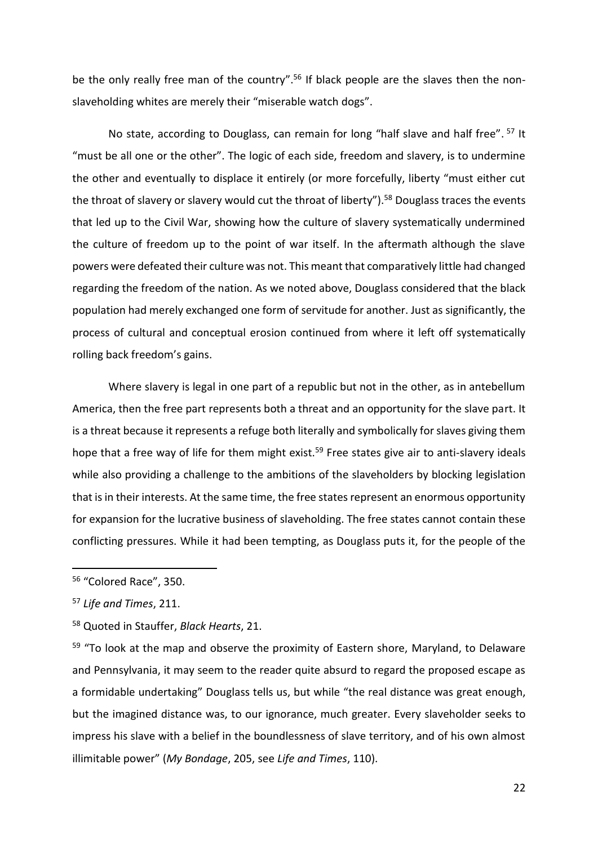be the only really free man of the country".<sup>56</sup> If black people are the slaves then the nonslaveholding whites are merely their "miserable watch dogs".

No state, according to Douglass, can remain for long "half slave and half free". <sup>57</sup> It "must be all one or the other". The logic of each side, freedom and slavery, is to undermine the other and eventually to displace it entirely (or more forcefully, liberty "must either cut the throat of slavery or slavery would cut the throat of liberty").<sup>58</sup> Douglass traces the events that led up to the Civil War, showing how the culture of slavery systematically undermined the culture of freedom up to the point of war itself. In the aftermath although the slave powers were defeated their culture was not. This meant that comparatively little had changed regarding the freedom of the nation. As we noted above, Douglass considered that the black population had merely exchanged one form of servitude for another. Just as significantly, the process of cultural and conceptual erosion continued from where it left off systematically rolling back freedom's gains.

Where slavery is legal in one part of a republic but not in the other, as in antebellum America, then the free part represents both a threat and an opportunity for the slave part. It is a threat because it represents a refuge both literally and symbolically for slaves giving them hope that a free way of life for them might exist.<sup>59</sup> Free states give air to anti-slavery ideals while also providing a challenge to the ambitions of the slaveholders by blocking legislation that is in their interests. At the same time, the free states represent an enormous opportunity for expansion for the lucrative business of slaveholding. The free states cannot contain these conflicting pressures. While it had been tempting, as Douglass puts it, for the people of the

-

<sup>59</sup> "To look at the map and observe the proximity of Eastern shore, Maryland, to Delaware and Pennsylvania, it may seem to the reader quite absurd to regard the proposed escape as a formidable undertaking" Douglass tells us, but while "the real distance was great enough, but the imagined distance was, to our ignorance, much greater. Every slaveholder seeks to impress his slave with a belief in the boundlessness of slave territory, and of his own almost illimitable power" (*My Bondage*, 205, see *Life and Times*, 110).

<sup>56</sup> "Colored Race", 350.

<sup>57</sup> *Life and Times*, 211.

<sup>58</sup> Quoted in Stauffer, *Black Hearts*, 21.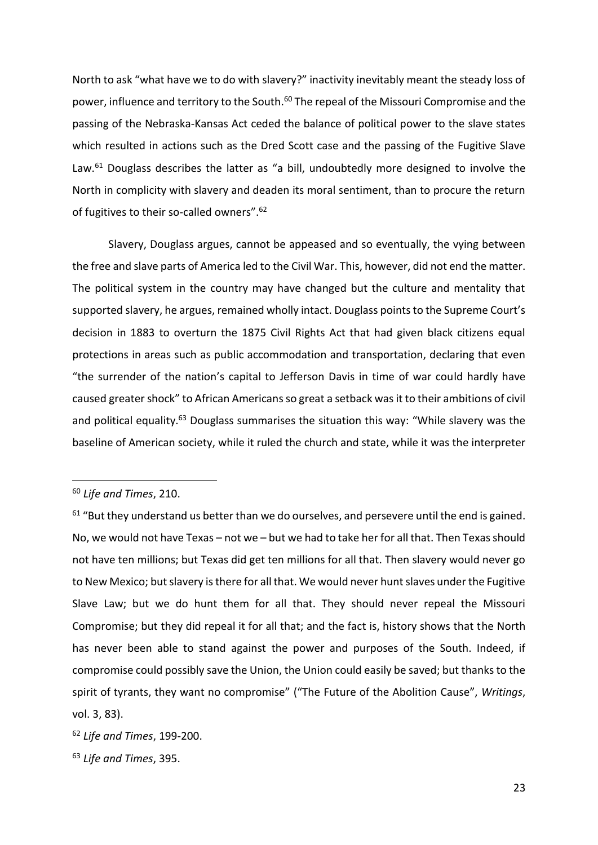North to ask "what have we to do with slavery?" inactivity inevitably meant the steady loss of power, influence and territory to the South.<sup>60</sup> The repeal of the Missouri Compromise and the passing of the Nebraska-Kansas Act ceded the balance of political power to the slave states which resulted in actions such as the Dred Scott case and the passing of the Fugitive Slave Law.<sup>61</sup> Douglass describes the latter as "a bill, undoubtedly more designed to involve the North in complicity with slavery and deaden its moral sentiment, than to procure the return of fugitives to their so-called owners".<sup>62</sup>

Slavery, Douglass argues, cannot be appeased and so eventually, the vying between the free and slave parts of America led to the Civil War. This, however, did not end the matter. The political system in the country may have changed but the culture and mentality that supported slavery, he argues, remained wholly intact. Douglass points to the Supreme Court's decision in 1883 to overturn the 1875 Civil Rights Act that had given black citizens equal protections in areas such as public accommodation and transportation, declaring that even "the surrender of the nation's capital to Jefferson Davis in time of war could hardly have caused greater shock" to African Americans so great a setback was it to their ambitions of civil and political equality.<sup>63</sup> Douglass summarises the situation this way: "While slavery was the baseline of American society, while it ruled the church and state, while it was the interpreter

<sup>60</sup> *Life and Times*, 210.

 $61$  "But they understand us better than we do ourselves, and persevere until the end is gained. No, we would not have Texas – not we – but we had to take her for all that. Then Texas should not have ten millions; but Texas did get ten millions for all that. Then slavery would never go to New Mexico; but slavery is there for all that. We would never hunt slaves under the Fugitive Slave Law; but we do hunt them for all that. They should never repeal the Missouri Compromise; but they did repeal it for all that; and the fact is, history shows that the North has never been able to stand against the power and purposes of the South. Indeed, if compromise could possibly save the Union, the Union could easily be saved; but thanks to the spirit of tyrants, they want no compromise" ("The Future of the Abolition Cause", *Writings*, vol. 3, 83).

<sup>62</sup> *Life and Times*, 199-200.

<sup>63</sup> *Life and Times*, 395.